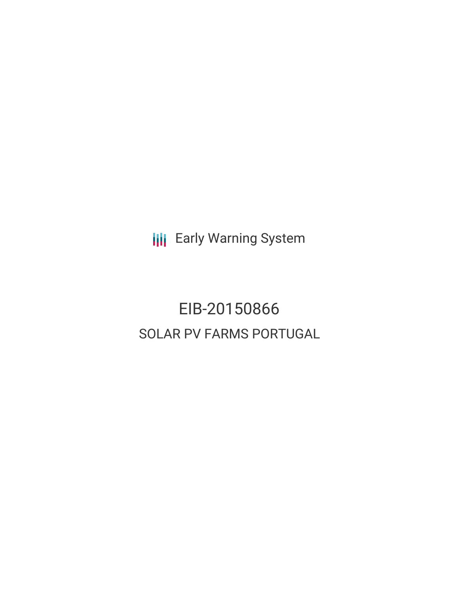**III** Early Warning System

EIB-20150866 SOLAR PV FARMS PORTUGAL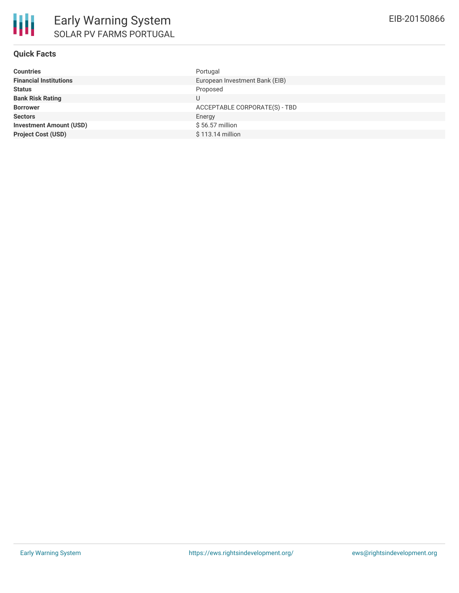## **Quick Facts**

| <b>Countries</b>               | Portugal                       |
|--------------------------------|--------------------------------|
| <b>Financial Institutions</b>  | European Investment Bank (EIB) |
| <b>Status</b>                  | Proposed                       |
| <b>Bank Risk Rating</b>        | U                              |
| <b>Borrower</b>                | ACCEPTABLE CORPORATE(S) - TBD  |
| <b>Sectors</b>                 | Energy                         |
| <b>Investment Amount (USD)</b> | \$56.57 million                |
| <b>Project Cost (USD)</b>      | \$113.14 million               |
|                                |                                |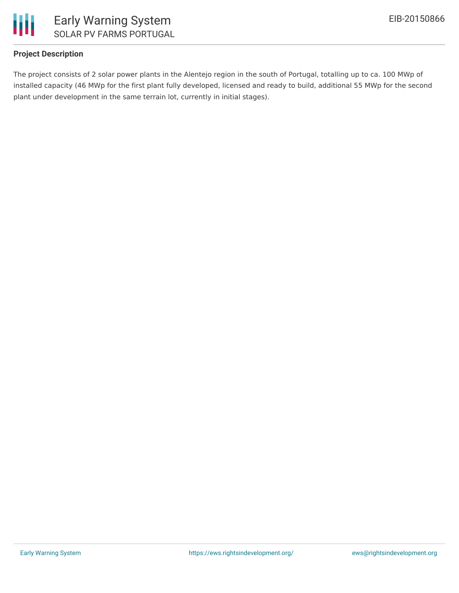

# **Project Description**

The project consists of 2 solar power plants in the Alentejo region in the south of Portugal, totalling up to ca. 100 MWp of installed capacity (46 MWp for the first plant fully developed, licensed and ready to build, additional 55 MWp for the second plant under development in the same terrain lot, currently in initial stages).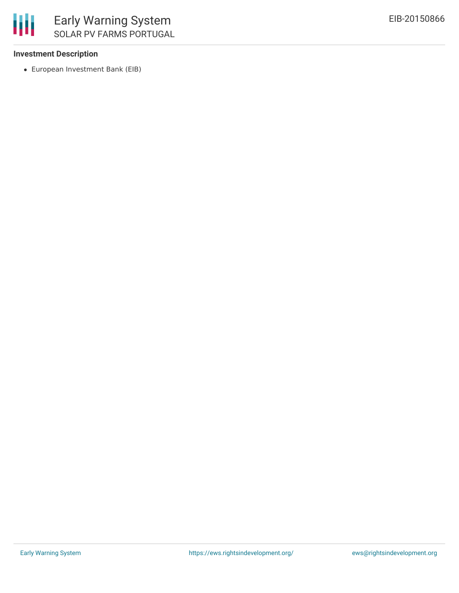

### **Investment Description**

European Investment Bank (EIB)